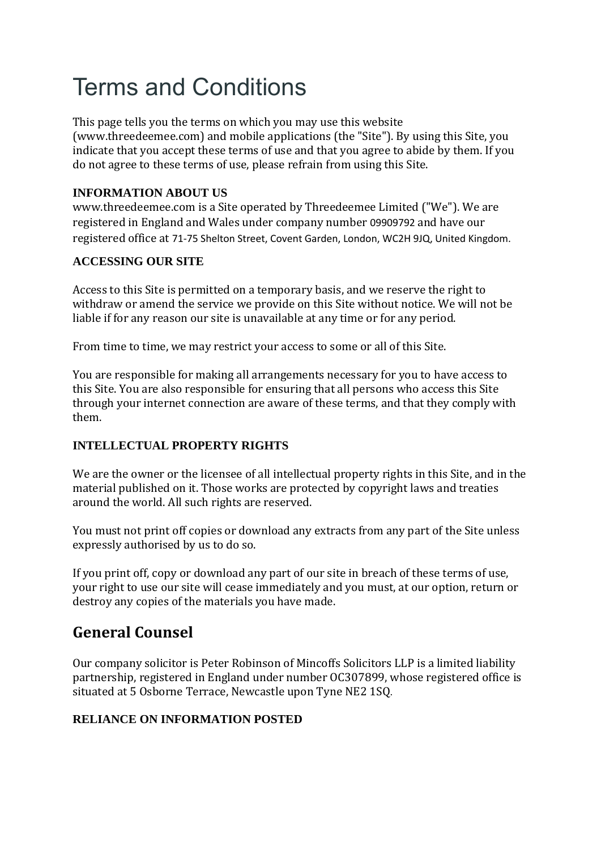# Terms and Conditions

This page tells you the terms on which you may use this website (www.threedeemee.com) and mobile applications (the "Site"). By using this Site, you indicate that you accept these terms of use and that you agree to abide by them. If you do not agree to these terms of use, please refrain from using this Site.

# **INFORMATION ABOUT US**

www.threedeemee.com is a Site operated by Threedeemee Limited ("We"). We are registered in England and Wales under company number 09909792 and have our registered office at 71-75 Shelton Street, Covent Garden, London, WC2H 9JQ, United Kingdom.

# **ACCESSING OUR SITE**

Access to this Site is permitted on a temporary basis, and we reserve the right to withdraw or amend the service we provide on this Site without notice. We will not be liable if for any reason our site is unavailable at any time or for any period.

From time to time, we may restrict your access to some or all of this Site.

You are responsible for making all arrangements necessary for you to have access to this Site. You are also responsible for ensuring that all persons who access this Site through your internet connection are aware of these terms, and that they comply with them.

## **INTELLECTUAL PROPERTY RIGHTS**

We are the owner or the licensee of all intellectual property rights in this Site, and in the material published on it. Those works are protected by copyright laws and treaties around the world. All such rights are reserved.

You must not print off copies or download any extracts from any part of the Site unless expressly authorised by us to do so.

If you print off, copy or download any part of our site in breach of these terms of use, your right to use our site will cease immediately and you must, at our option, return or destroy any copies of the materials you have made.

# **General Counsel**

Our company solicitor is Peter Robinson of Mincoffs Solicitors LLP is a limited liability partnership, registered in England under number OC307899, whose registered office is situated at 5 Osborne Terrace, Newcastle upon Tyne NE2 1SQ.

# **RELIANCE ON INFORMATION POSTED**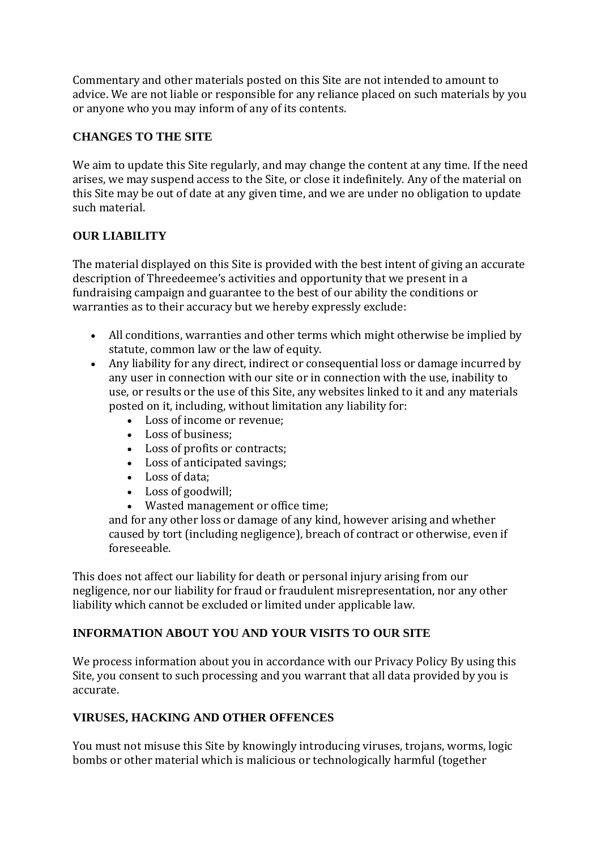Commentary and other materials posted on this Site are not intended to amount to advice. We are not liable or responsible for any reliance placed on such materials by you or anyone who you may inform of any of its contents.

# **CHANGES TO THE SITE**

We aim to update this Site regularly, and may change the content at any time. If the need arises, we may suspend access to the Site, or close it indefinitely. Any of the material on this Site may be out of date at any given time, and we are under no obligation to update such material.

# **OUR LIABILITY**

The material displayed on this Site is provided with the best intent of giving an accurate description of Threedeemee's activities and opportunity that we present in a fundraising campaign and guarantee to the best of our ability the conditions or warranties as to their accuracy but we hereby expressly exclude:

- All conditions, warranties and other terms which might otherwise be implied by statute, common law or the law of equity.
- Any liability for any direct, indirect or consequential loss or damage incurred by any user in connection with our site or in connection with the use, inability to use, or results or the use of this Site, any websites linked to it and any materials posted on it, including, without limitation any liability for:
	- Loss of income or revenue;
	- Loss of business:
	- Loss of profits or contracts;
	- Loss of anticipated savings;
	- Loss of data;
	- Loss of goodwill;
	- Wasted management or office time;

and for any other loss or damage of any kind, however arising and whether caused by tort (including negligence), breach of contract or otherwise, even if foreseeable.

This does not affect our liability for death or personal injury arising from our negligence, nor our liability for fraud or fraudulent misrepresentation, nor any other liability which cannot be excluded or limited under applicable law.

# **INFORMATION ABOUT YOU AND YOUR VISITS TO OUR SITE**

We process information about you in accordance with our Privacy Policy By using this Site, you consent to such processing and you warrant that all data provided by you is accurate.

## **VIRUSES, HACKING AND OTHER OFFENCES**

You must not misuse this Site by knowingly introducing viruses, trojans, worms, logic bombs or other material which is malicious or technologically harmful (together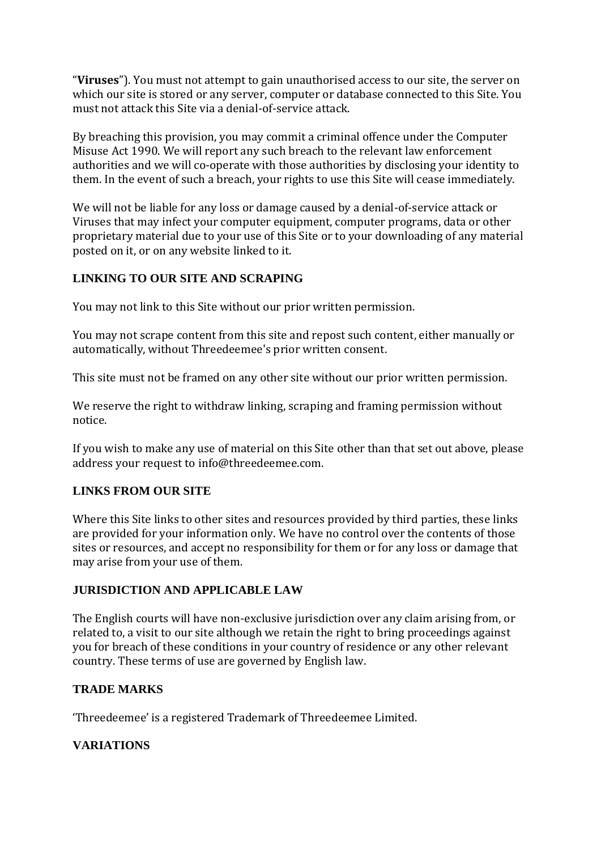"**Viruses**"). You must not attempt to gain unauthorised access to our site, the server on which our site is stored or any server, computer or database connected to this Site. You must not attack this Site via a denial-of-service attack.

By breaching this provision, you may commit a criminal offence under the Computer Misuse Act 1990. We will report any such breach to the relevant law enforcement authorities and we will co-operate with those authorities by disclosing your identity to them. In the event of such a breach, your rights to use this Site will cease immediately.

We will not be liable for any loss or damage caused by a denial-of-service attack or Viruses that may infect your computer equipment, computer programs, data or other proprietary material due to your use of this Site or to your downloading of any material posted on it, or on any website linked to it.

#### **LINKING TO OUR SITE AND SCRAPING**

You may not link to this Site without our prior written permission.

You may not scrape content from this site and repost such content, either manually or automatically, without Threedeemee's prior written consent.

This site must not be framed on any other site without our prior written permission.

We reserve the right to withdraw linking, scraping and framing permission without notice.

If you wish to make any use of material on this Site other than that set out above, please address your request to info@threedeemee.com.

#### **LINKS FROM OUR SITE**

Where this Site links to other sites and resources provided by third parties, these links are provided for your information only. We have no control over the contents of those sites or resources, and accept no responsibility for them or for any loss or damage that may arise from your use of them.

#### **JURISDICTION AND APPLICABLE LAW**

The English courts will have non-exclusive jurisdiction over any claim arising from, or related to, a visit to our site although we retain the right to bring proceedings against you for breach of these conditions in your country of residence or any other relevant country. These terms of use are governed by English law.

#### **TRADE MARKS**

'Threedeemee' is a registered Trademark of Threedeemee Limited.

## **VARIATIONS**